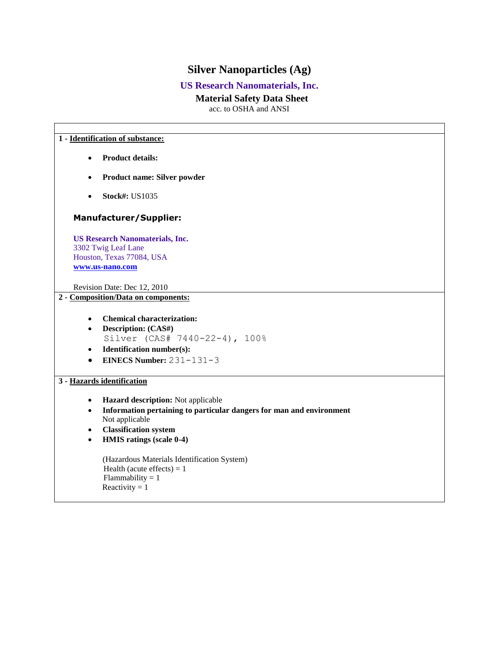# **Silver Nanoparticles (Ag)**

## **US Research Nanomaterials, Inc.**

## **Material Safety Data Sheet**

acc. to OSHA and ANSI

#### **1 - Identification of substance:**

- **Product details:**
- **Product name: Silver powder**
- **Stock#: US1035**

## **Manufacturer/Supplier:**

**US Research Nanomaterials, Inc.** 3302 Twig Leaf Lane Houston, Texas 77084, USA **[www.us-nano.com](http://www.us-nano.com/)**

Revision Date: Dec 12, 2010

## **2 - Composition/Data on components:**

- **Chemical characterization:**
- **Description: (CAS#)** Silver (CAS# 7440-22-4), 100%
- **Identification number(s):**
- **EINECS Number:** 231-131-3

## **3 - Hazards identification**

- **Hazard description:** Not applicable
- **Information pertaining to particular dangers for man and environment** Not applicable
- **Classification system**
- **HMIS ratings (scale 0-4)**

(Hazardous Materials Identification System) Health (acute effects)  $= 1$  $Flammability = 1$ Reactivity  $= 1$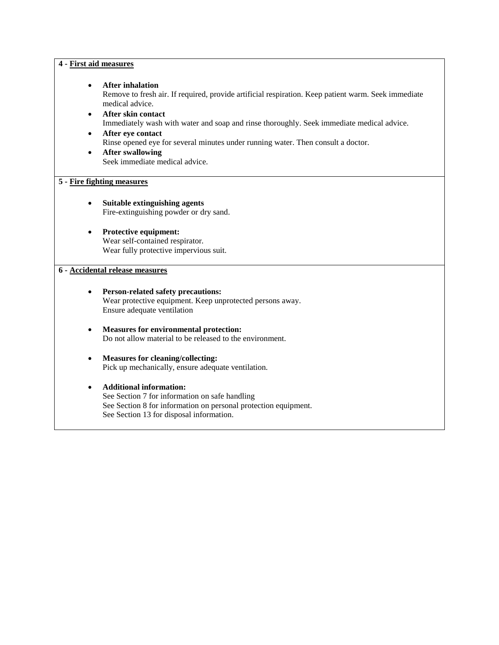| 4 - First aid measures              |                                                                                                                                                                                                                                                                                                                                                                                                                                            |  |  |
|-------------------------------------|--------------------------------------------------------------------------------------------------------------------------------------------------------------------------------------------------------------------------------------------------------------------------------------------------------------------------------------------------------------------------------------------------------------------------------------------|--|--|
| $\bullet$<br>$\bullet$<br>$\bullet$ | <b>After inhalation</b><br>Remove to fresh air. If required, provide artificial respiration. Keep patient warm. Seek immediate<br>medical advice.<br>After skin contact<br>Immediately wash with water and soap and rinse thoroughly. Seek immediate medical advice.<br>After eye contact<br>Rinse opened eye for several minutes under running water. Then consult a doctor.<br><b>After swallowing</b><br>Seek immediate medical advice. |  |  |
| 5 - Fire fighting measures          |                                                                                                                                                                                                                                                                                                                                                                                                                                            |  |  |
|                                     | Suitable extinguishing agents<br>Fire-extinguishing powder or dry sand.                                                                                                                                                                                                                                                                                                                                                                    |  |  |
|                                     | Protective equipment:<br>Wear self-contained respirator.<br>Wear fully protective impervious suit.                                                                                                                                                                                                                                                                                                                                         |  |  |
| 6 - Accidental release measures     |                                                                                                                                                                                                                                                                                                                                                                                                                                            |  |  |
|                                     | <b>Person-related safety precautions:</b><br>Wear protective equipment. Keep unprotected persons away.<br>Ensure adequate ventilation                                                                                                                                                                                                                                                                                                      |  |  |
| $\bullet$                           | <b>Measures for environmental protection:</b><br>Do not allow material to be released to the environment.                                                                                                                                                                                                                                                                                                                                  |  |  |
| $\bullet$                           | <b>Measures for cleaning/collecting:</b><br>Pick up mechanically, ensure adequate ventilation.                                                                                                                                                                                                                                                                                                                                             |  |  |
|                                     | <b>Additional information:</b><br>See Section 7 for information on safe handling<br>See Section 8 for information on personal protection equipment.<br>See Section 13 for disposal information.                                                                                                                                                                                                                                            |  |  |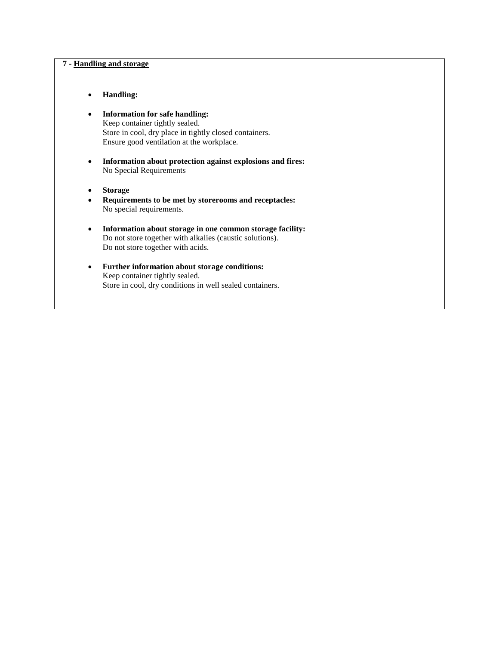### **7 - Handling and storage**

- **Handling:**
- **Information for safe handling:**  Keep container tightly sealed. Store in cool, dry place in tightly closed containers. Ensure good ventilation at the workplace.
- **Information about protection against explosions and fires:**  No Special Requirements
- **Storage**
- **Requirements to be met by storerooms and receptacles:**  No special requirements.
- **Information about storage in one common storage facility:**  Do not store together with alkalies (caustic solutions). Do not store together with acids.
- **Further information about storage conditions:**  Keep container tightly sealed. Store in cool, dry conditions in well sealed containers.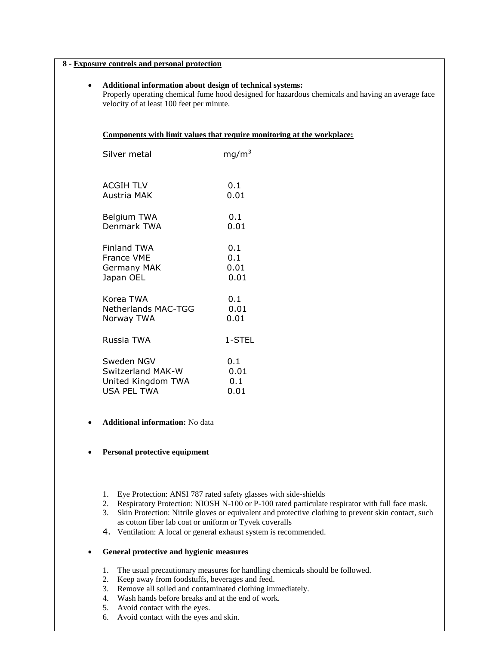| 8 - Exposure controls and personal protection |                                                                                                                                                                                                             |                            |  |
|-----------------------------------------------|-------------------------------------------------------------------------------------------------------------------------------------------------------------------------------------------------------------|----------------------------|--|
| $\bullet$                                     | Additional information about design of technical systems:<br>Properly operating chemical fume hood designed for hazardous chemicals and having an average face<br>velocity of at least 100 feet per minute. |                            |  |
|                                               | Components with limit values that require monitoring at the workplace:                                                                                                                                      |                            |  |
|                                               | Silver metal                                                                                                                                                                                                | mq/m <sup>3</sup>          |  |
|                                               | <b>ACGIH TLV</b><br>Austria MAK                                                                                                                                                                             | 0.1<br>0.01                |  |
|                                               | Belgium TWA<br>Denmark TWA                                                                                                                                                                                  | 0.1<br>0.01                |  |
|                                               | <b>Finland TWA</b><br>France VME<br>Germany MAK<br>Japan OEL                                                                                                                                                | 0.1<br>0.1<br>0.01<br>0.01 |  |
|                                               | Korea TWA<br><b>Netherlands MAC-TGG</b><br>Norway TWA                                                                                                                                                       | 0.1<br>0.01<br>0.01        |  |
|                                               | Russia TWA                                                                                                                                                                                                  | 1-STEL                     |  |
|                                               | Sweden NGV<br>Switzerland MAK-W<br>United Kingdom TWA<br><b>USA PEL TWA</b>                                                                                                                                 | 0.1<br>0.01<br>0.1<br>0.01 |  |

**Additional information:** No data

### **Personal protective equipment**

- 1. Eye Protection: ANSI 787 rated safety glasses with side-shields
- 2. Respiratory Protection: NIOSH N-100 or P-100 rated particulate respirator with full face mask.
- 3. Skin Protection: Nitrile gloves or equivalent and protective clothing to prevent skin contact, such as cotton fiber lab coat or uniform or Tyvek coveralls
- 4. Ventilation: A local or general exhaust system is recommended.

## **General protective and hygienic measures**

- 1. The usual precautionary measures for handling chemicals should be followed.
- 2. Keep away from foodstuffs, beverages and feed.
- 3. Remove all soiled and contaminated clothing immediately.
- 4. Wash hands before breaks and at the end of work.
- 5. Avoid contact with the eyes.
- 6. Avoid contact with the eyes and skin.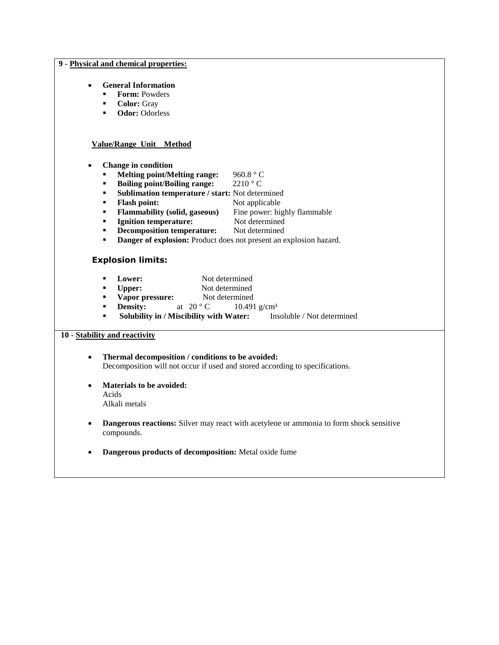#### **9 - Physical and chemical properties:**

## **General Information**

- **Form: Powders**
- **Color:** Gray
- **-** Odor: Odorless

#### **Value/Range Unit Method**

- **Change in condition**
	- **Melting point/Melting range:** 960.8 ° C<br>**Boiling point/Boiling range:** 2210 ° C
	- **Boiling point/Boiling range:**
	- **Sublimation temperature / start:** Not determined
	- **Flash point:** Not applicable
	- **Flammability (solid, gaseous)** Fine power: highly flammable
	- **Ignition temperature:** Not determined
	- **• Decomposition temperature:** Not determined
	- **Danger of explosion:** Product does not present an explosion hazard.

## **Explosion limits:**

- **Lower:** Not determined
- **Upper:** Not determined
- **vapor pressure:** Not determined
- **Density:** at  $20^{\circ}$  C  $10.491$  g/cm<sup>3</sup>
- **Solubility in / Miscibility with Water:** Insoluble / Not determined

#### **10 - Stability and reactivity**

- **Thermal decomposition / conditions to be avoided:**  Decomposition will not occur if used and stored according to specifications.
- **Materials to be avoided:**  Acids Alkali metals
- **Dangerous reactions:** Silver may react with acetylene or ammonia to form shock sensitive compounds.
- **Dangerous products of decomposition:** Metal oxide fume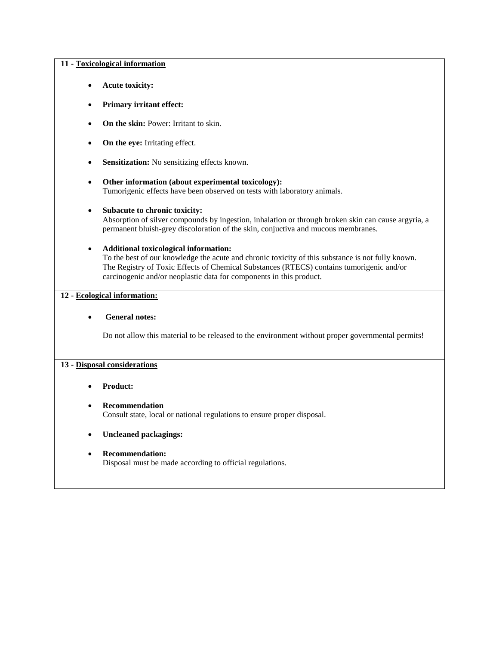#### **11 - Toxicological information**

- **Acute toxicity:**
- **Primary irritant effect:**
- On the skin: Power: Irritant to skin.
- On the eye: Irritating effect.
- **Sensitization:** No sensitizing effects known.
- **Other information (about experimental toxicology):** Tumorigenic effects have been observed on tests with laboratory animals.
- **Subacute to chronic toxicity:**  Absorption of silver compounds by ingestion, inhalation or through broken skin can cause argyria, a permanent bluish-grey discoloration of the skin, conjuctiva and mucous membranes.
- **Additional toxicological information:**

To the best of our knowledge the acute and chronic toxicity of this substance is not fully known. The Registry of Toxic Effects of Chemical Substances (RTECS) contains tumorigenic and/or carcinogenic and/or neoplastic data for components in this product.

## **12 - Ecological information:**

#### **General notes:**

Do not allow this material to be released to the environment without proper governmental permits!

## **13 - Disposal considerations**

#### **Product:**

#### **Recommendation**

Consult state, local or national regulations to ensure proper disposal.

#### **Uncleaned packagings:**

 **Recommendation:**  Disposal must be made according to official regulations.